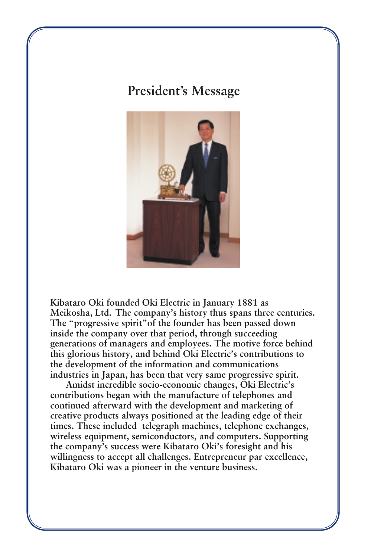## **President's Message**



**Kibataro Oki founded Oki Electric in January 1881 as Meikosha, Ltd. The company's history thus spans three centuries. The "progressive spirit"of the founder has been passed down inside the company over that period, through succeeding generations of managers and employees. The motive force behind this glorious history, and behind Oki Electric's contributions to the development of the information and communications industries in Japan, has been that very same progressive spirit.**

**Amidst incredible socio-economic changes, Oki Electric's contributions began with the manufacture of telephones and continued afterward with the development and marketing of creative products always positioned at the leading edge of their times. These included telegraph machines, telephone exchanges, wireless equipment, semiconductors, and computers. Supporting the company's success were Kibataro Oki's foresight and his willingness to accept all challenges. Entrepreneur par excellence, Kibataro Oki was a pioneer in the venture business.**